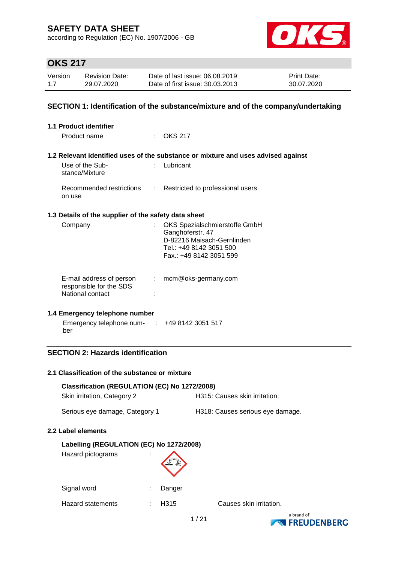according to Regulation (EC) No. 1907/2006 - GB



# **OKS 217**

| Version | <b>Revision Date:</b> | Date of last issue: 06.08.2019  | <b>Print Date:</b> |
|---------|-----------------------|---------------------------------|--------------------|
| 1.7     | 29.07.2020            | Date of first issue: 30.03.2013 | 30.07.2020         |

#### **SECTION 1: Identification of the substance/mixture and of the company/undertaking**

| <b>1.1 Product identifier</b>                                           |                                                                                                                                       |
|-------------------------------------------------------------------------|---------------------------------------------------------------------------------------------------------------------------------------|
| Product name                                                            | $\therefore$ OKS 217                                                                                                                  |
|                                                                         | 1.2 Relevant identified uses of the substance or mixture and uses advised against                                                     |
| Use of the Sub-<br>stance/Mixture                                       | Lubricant                                                                                                                             |
| on use                                                                  | Recommended restrictions : Restricted to professional users.                                                                          |
| 1.3 Details of the supplier of the safety data sheet                    |                                                                                                                                       |
| Company                                                                 | OKS Spezialschmierstoffe GmbH<br>Ganghoferstr. 47<br>D-82216 Maisach-Gernlinden<br>Tel.: +49 8142 3051 500<br>Fax.: +49 8142 3051 599 |
| E-mail address of person<br>responsible for the SDS<br>National contact | $:$ mcm@oks-germany.com                                                                                                               |
| 1.4 Emergency telephone number                                          |                                                                                                                                       |
| Emergency telephone num- $\therefore$ +49 8142 3051 517                 |                                                                                                                                       |

ber

#### **SECTION 2: Hazards identification**

#### **2.1 Classification of the substance or mixture**

| Classification (REGULATION (EC) No 1272/2008) |                                  |
|-----------------------------------------------|----------------------------------|
| Skin irritation, Category 2                   | H315: Causes skin irritation.    |
| Serious eye damage, Category 1                | H318: Causes serious eye damage. |
| 2.2 Label elements                            |                                  |
| Labelling (REGULATION (EC) No 1272/2008)      |                                  |
| Hazard pictograms                             |                                  |
| Signal word                                   | Danger                           |

Hazard statements : H315 Causes skin irritation.

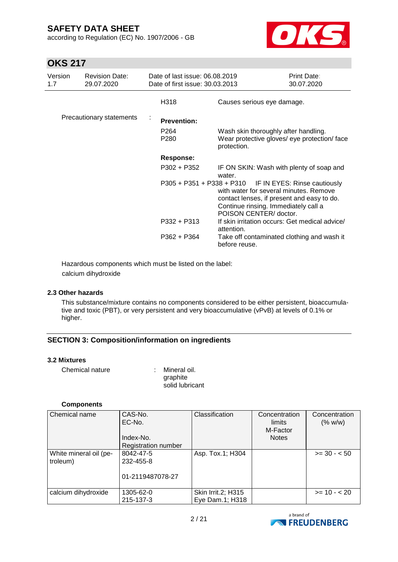according to Regulation (EC) No. 1907/2006 - GB



### **OKS 217**

| Version<br>1.7 | <b>Revision Date:</b><br>29.07.2020 | Date of last issue: 06.08.2019<br>Date of first issue: 30,03,2013 |                                                                                                                                                                                                                 | Print Date:<br>30.07.2020 |
|----------------|-------------------------------------|-------------------------------------------------------------------|-----------------------------------------------------------------------------------------------------------------------------------------------------------------------------------------------------------------|---------------------------|
|                |                                     | H318                                                              | Causes serious eye damage.                                                                                                                                                                                      |                           |
|                | Precautionary statements            | <b>Prevention:</b>                                                |                                                                                                                                                                                                                 |                           |
|                |                                     | P <sub>264</sub><br>P280                                          | Wash skin thoroughly after handling.<br>Wear protective gloves/ eye protection/ face<br>protection.                                                                                                             |                           |
|                |                                     | <b>Response:</b>                                                  |                                                                                                                                                                                                                 |                           |
|                |                                     | P302 + P352                                                       | IF ON SKIN: Wash with plenty of soap and<br>water.                                                                                                                                                              |                           |
|                |                                     |                                                                   | P305 + P351 + P338 + P310 IF IN EYES: Rinse cautiously<br>with water for several minutes. Remove<br>contact lenses, if present and easy to do.<br>Continue rinsing. Immediately call a<br>POISON CENTER/doctor. |                           |
|                |                                     | P332 + P313                                                       | If skin irritation occurs: Get medical advice/<br>attention.                                                                                                                                                    |                           |
|                |                                     | P362 + P364                                                       | Take off contaminated clothing and wash it<br>before reuse.                                                                                                                                                     |                           |

Hazardous components which must be listed on the label: calcium dihydroxide

#### **2.3 Other hazards**

This substance/mixture contains no components considered to be either persistent, bioaccumulative and toxic (PBT), or very persistent and very bioaccumulative (vPvB) at levels of 0.1% or higher.

#### **SECTION 3: Composition/information on ingredients**

#### **3.2 Mixtures**

| Chemical nature | : Mineral oil.  |
|-----------------|-----------------|
|                 | graphite        |
|                 | solid lubricant |

#### **Components**

| Chemical name          | CAS-No.<br>EC-No.<br>Index-No. | Classification     | Concentration<br>limits<br>M-Factor<br><b>Notes</b> | Concentration<br>(% w/w) |
|------------------------|--------------------------------|--------------------|-----------------------------------------------------|--------------------------|
|                        | Registration number            |                    |                                                     |                          |
| White mineral oil (pe- | 8042-47-5                      | Asp. Tox.1; H304   |                                                     | $>= 30 - 50$             |
| troleum)               | 232-455-8                      |                    |                                                     |                          |
|                        | 01-2119487078-27               |                    |                                                     |                          |
| calcium dihydroxide    | 1305-62-0                      | Skin Irrit.2; H315 |                                                     | $>= 10 - 20$             |
|                        | 215-137-3                      | Eye Dam.1; H318    |                                                     |                          |

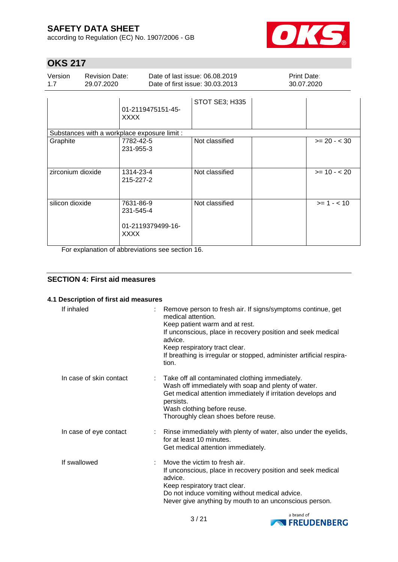according to Regulation (EC) No. 1907/2006 - GB



# **OKS 217**

| Version | <b>Revision Date:</b> | Date of last issue: 06.08.2019  | <b>Print Date:</b> |
|---------|-----------------------|---------------------------------|--------------------|
| 17      | 29.07.2020            | Date of first issue: 30.03.2013 | 30.07.2020         |
|         |                       | STOT SE3; H335                  |                    |

|                                                                   | 01-2119475151-45-<br><b>XXXX</b>                                                                                  |                |                |
|-------------------------------------------------------------------|-------------------------------------------------------------------------------------------------------------------|----------------|----------------|
| Substances with a workplace exposure limit :                      |                                                                                                                   |                |                |
| Graphite                                                          | 7782-42-5<br>231-955-3                                                                                            | Not classified | $>= 20 - < 30$ |
| zirconium dioxide                                                 | 1314-23-4<br>215-227-2                                                                                            | Not classified | $>= 10 - 20$   |
| silicon dioxide<br>$\mathbf{r}$ and $\mathbf{r}$ and $\mathbf{r}$ | 7631-86-9<br>231-545-4<br>01-2119379499-16-<br><b>XXXX</b><br>$\sim$ $\sim$ $\sim$ $\sim$ $\sim$<br>$\sim$ $\sim$ | Not classified | $>= 1 - 10$    |

For explanation of abbreviations see section 16.

#### **SECTION 4: First aid measures**

#### **4.1 Description of first aid measures**

| If inhaled              | Remove person to fresh air. If signs/symptoms continue, get<br>medical attention.<br>Keep patient warm and at rest.<br>If unconscious, place in recovery position and seek medical<br>advice.<br>Keep respiratory tract clear.<br>If breathing is irregular or stopped, administer artificial respira-<br>tion. |
|-------------------------|-----------------------------------------------------------------------------------------------------------------------------------------------------------------------------------------------------------------------------------------------------------------------------------------------------------------|
| In case of skin contact | Take off all contaminated clothing immediately.<br>Wash off immediately with soap and plenty of water.<br>Get medical attention immediately if irritation develops and<br>persists.<br>Wash clothing before reuse.<br>Thoroughly clean shoes before reuse.                                                      |
| In case of eye contact  | : Rinse immediately with plenty of water, also under the eyelids,<br>for at least 10 minutes.<br>Get medical attention immediately.                                                                                                                                                                             |
| If swallowed            | Move the victim to fresh air.<br>If unconscious, place in recovery position and seek medical<br>advice.<br>Keep respiratory tract clear.<br>Do not induce vomiting without medical advice.<br>Never give anything by mouth to an unconscious person.                                                            |

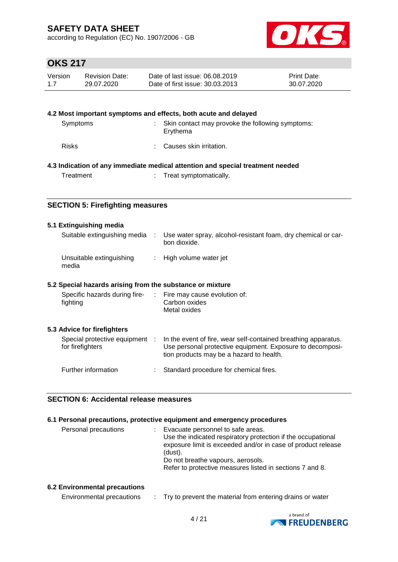according to Regulation (EC) No. 1907/2006 - GB



# **OKS 217**

| Version | <b>Revision Date:</b> | Date of last issue: 06.08.2019  | <b>Print Date:</b> |
|---------|-----------------------|---------------------------------|--------------------|
| 1.7     | 29.07.2020            | Date of first issue: 30.03.2013 | 30.07.2020         |

|              | 4.2 Most important symptoms and effects, both acute and delayed                |
|--------------|--------------------------------------------------------------------------------|
| Symptoms     | Skin contact may provoke the following symptoms:<br>Erythema                   |
| <b>Risks</b> | Causes skin irritation.                                                        |
|              | 4.3 Indication of any immediate medical attention and special treatment needed |
| Treatment    | Treat symptomatically.                                                         |

#### **SECTION 5: Firefighting measures**

#### **5.1 Extinguishing media**

| Suitable extinguishing media      | Use water spray, alcohol-resistant foam, dry chemical or car-<br>bon dioxide. |
|-----------------------------------|-------------------------------------------------------------------------------|
| Unsuitable extinguishing<br>media | : High volume water jet                                                       |

#### **5.2 Special hazards arising from the substance or mixture**

| Specific hazards during fire-<br>fighting          | ÷. | Fire may cause evolution of:<br>Carbon oxides<br>Metal oxides                                                                                                           |
|----------------------------------------------------|----|-------------------------------------------------------------------------------------------------------------------------------------------------------------------------|
| 5.3 Advice for firefighters                        |    |                                                                                                                                                                         |
| Special protective equipment :<br>for firefighters |    | In the event of fire, wear self-contained breathing apparatus.<br>Use personal protective equipment. Exposure to decomposi-<br>tion products may be a hazard to health. |
| Further information                                |    | Standard procedure for chemical fires.                                                                                                                                  |

#### **SECTION 6: Accidental release measures**

#### **6.1 Personal precautions, protective equipment and emergency procedures**

| Personal precautions | Evacuate personnel to safe areas.                            |
|----------------------|--------------------------------------------------------------|
|                      | Use the indicated respiratory protection if the occupational |
|                      | exposure limit is exceeded and/or in case of product release |
|                      | (dust).                                                      |
|                      | Do not breathe vapours, aerosols.                            |
|                      | Refer to protective measures listed in sections 7 and 8.     |
|                      |                                                              |

#### **6.2 Environmental precautions**

| Environmental precautions |  | Try to prevent the material from entering drains or water |
|---------------------------|--|-----------------------------------------------------------|
|---------------------------|--|-----------------------------------------------------------|

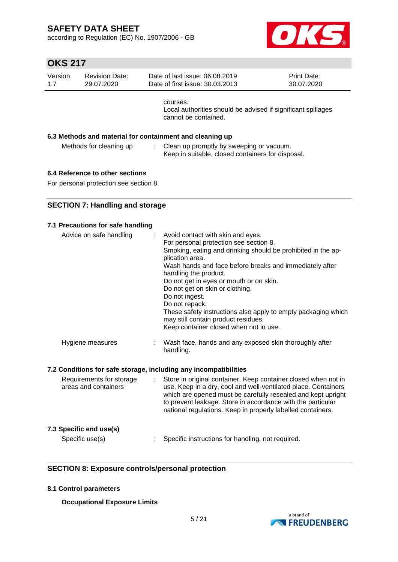according to Regulation (EC) No. 1907/2006 - GB



# **OKS 217**

| Version<br>1.7 | <b>Revision Date:</b><br>29.07.2020 | Date of last issue: 06.08.2019<br>Date of first issue: 30.03.2013                                |  | <b>Print Date:</b><br>30.07.2020 |
|----------------|-------------------------------------|--------------------------------------------------------------------------------------------------|--|----------------------------------|
|                |                                     | courses.<br>Local authorities should be advised if significant spillages<br>cannot be contained. |  |                                  |
|                |                                     | 6.3 Methods and material for containment and cleaning up                                         |  |                                  |
|                | Methods for cleaning up             | Clean up promptly by sweeping or vacuum.<br>Keep in suitable, closed containers for disposal.    |  |                                  |
|                |                                     |                                                                                                  |  |                                  |

#### **6.4 Reference to other sections**

For personal protection see section 8.

#### **SECTION 7: Handling and storage**

| 7.1 Precautions for safe handling                                             |                                                                                                                                                                                                                                                                                                                                                                                                                                                                                                                        |
|-------------------------------------------------------------------------------|------------------------------------------------------------------------------------------------------------------------------------------------------------------------------------------------------------------------------------------------------------------------------------------------------------------------------------------------------------------------------------------------------------------------------------------------------------------------------------------------------------------------|
| Advice on safe handling<br>÷                                                  | Avoid contact with skin and eyes.<br>For personal protection see section 8.<br>Smoking, eating and drinking should be prohibited in the ap-<br>plication area.<br>Wash hands and face before breaks and immediately after<br>handling the product.<br>Do not get in eyes or mouth or on skin.<br>Do not get on skin or clothing.<br>Do not ingest.<br>Do not repack.<br>These safety instructions also apply to empty packaging which<br>may still contain product residues.<br>Keep container closed when not in use. |
| Hygiene measures                                                              | Wash face, hands and any exposed skin thoroughly after<br>handling.                                                                                                                                                                                                                                                                                                                                                                                                                                                    |
| 7.2 Conditions for safe storage, including any incompatibilities              |                                                                                                                                                                                                                                                                                                                                                                                                                                                                                                                        |
| Requirements for storage<br>$\mathbb{R}^{\mathbb{Z}}$<br>areas and containers | Store in original container. Keep container closed when not in<br>use. Keep in a dry, cool and well-ventilated place. Containers<br>which are opened must be carefully resealed and kept upright<br>to prevent leakage. Store in accordance with the particular<br>national regulations. Keep in properly labelled containers.                                                                                                                                                                                         |
| 7.3 Specific end use(s)                                                       |                                                                                                                                                                                                                                                                                                                                                                                                                                                                                                                        |
| Specific use(s)                                                               | Specific instructions for handling, not required.                                                                                                                                                                                                                                                                                                                                                                                                                                                                      |

#### **SECTION 8: Exposure controls/personal protection**

#### **8.1 Control parameters**

**Occupational Exposure Limits**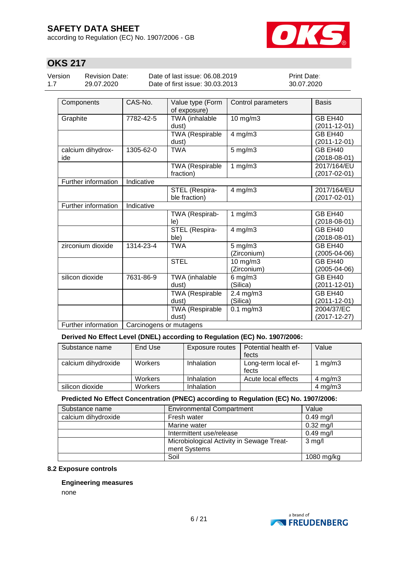according to Regulation (EC) No. 1907/2006 - GB



# **OKS 217**

Version 1.7

Revision Date: 29.07.2020

Date of last issue: 06.08.2019 Date of first issue: 30.03.2013 Print Date: 30.07.2020

| Components                                     | CAS-No.    | Value type (Form<br>of exposure)    | Control parameters          | <b>Basis</b>                  |
|------------------------------------------------|------------|-------------------------------------|-----------------------------|-------------------------------|
| Graphite                                       | 7782-42-5  | TWA (inhalable<br>dust)             | 10 mg/m3                    | GB EH40<br>(2011-12-01)       |
|                                                |            | <b>TWA (Respirable</b><br>dust)     | $4$ mg/m $3$                | GB EH40<br>$(2011 - 12 - 01)$ |
| calcium dihydrox-<br>ide                       | 1305-62-0  | <b>TWA</b>                          | $5$ mg/m $3$                | GB EH40<br>$(2018-08-01)$     |
|                                                |            | <b>TWA (Respirable</b><br>fraction) | 1 $mg/m3$                   | 2017/164/EU<br>(2017-02-01)   |
| Further information                            | Indicative |                                     |                             |                               |
|                                                |            | STEL (Respira-<br>ble fraction)     | $4$ mg/m $3$                | 2017/164/EU<br>(2017-02-01)   |
| Further information                            | Indicative |                                     |                             |                               |
|                                                |            | TWA (Respirab-<br>le)               | 1 $mg/m3$                   | GB EH40<br>$(2018-08-01)$     |
|                                                |            | STEL (Respira-<br>ble)              | $4$ mg/m $3$                | GB EH40<br>$(2018 - 08 - 01)$ |
| zirconium dioxide                              | 1314-23-4  | <b>TWA</b>                          | $5$ mg/m $3$<br>(Zirconium) | GB EH40<br>(2005-04-06)       |
|                                                |            | <b>STEL</b>                         | 10 mg/m3<br>(Zirconium)     | GB EH40<br>(2005-04-06)       |
| silicon dioxide                                | 7631-86-9  | TWA (inhalable<br>dust)             | $6$ mg/m $3$<br>(Silica)    | GB EH40<br>$(2011 - 12 - 01)$ |
|                                                |            | TWA (Respirable<br>dust)            | $2.4$ mg/m $3$<br>(Silica)  | GB EH40<br>$(2011 - 12 - 01)$ |
|                                                |            | <b>TWA (Respirable</b><br>dust)     | $0.1$ mg/m $3$              | 2004/37/EC<br>(2017-12-27)    |
| Further information<br>Carcinogens or mutagens |            |                                     |                             |                               |

#### **Derived No Effect Level (DNEL) according to Regulation (EC) No. 1907/2006:**

| Substance name      | End Use | Exposure routes | Potential health ef-<br>fects | Value              |
|---------------------|---------|-----------------|-------------------------------|--------------------|
| calcium dihydroxide | Workers | Inhalation      | Long-term local ef-<br>fects  | mg/m3              |
|                     | Workers | Inhalation      | Acute local effects           | $4 \text{ mg/m}$ 3 |
| silicon dioxide     | Workers | Inhalation      |                               | $4$ mg/m $3$       |

#### **Predicted No Effect Concentration (PNEC) according to Regulation (EC) No. 1907/2006:**

| Substance name      | <b>Environmental Compartment</b>          | Value       |
|---------------------|-------------------------------------------|-------------|
| calcium dihydroxide | Fresh water                               | $0.49$ mg/l |
|                     | Marine water                              | $0.32$ mg/l |
|                     | Intermittent use/release                  | $0.49$ mg/l |
|                     | Microbiological Activity in Sewage Treat- | $3$ mg/l    |
|                     | ment Systems                              |             |
|                     | Soil                                      | 1080 mg/kg  |

#### **8.2 Exposure controls**

#### **Engineering measures**

none

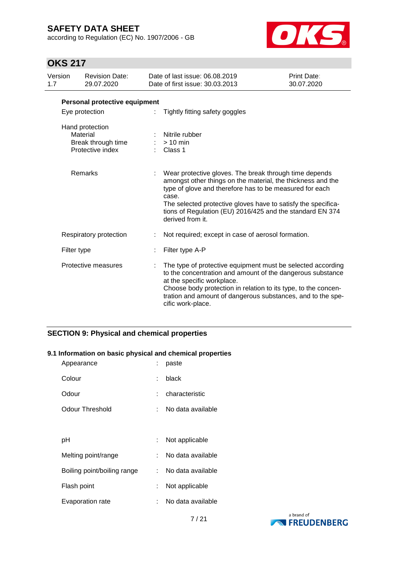according to Regulation (EC) No. 1907/2006 - GB



# **OKS 217**

| Version<br>1.7 |             | <b>Revision Date:</b><br>29.07.2020                                   | Date of last issue: 06.08.2019<br>Date of first issue: 30.03.2013                                                                                                                                                                                                                                                                           | Print Date:<br>30.07.2020 |  |  |
|----------------|-------------|-----------------------------------------------------------------------|---------------------------------------------------------------------------------------------------------------------------------------------------------------------------------------------------------------------------------------------------------------------------------------------------------------------------------------------|---------------------------|--|--|
|                |             | Personal protective equipment                                         |                                                                                                                                                                                                                                                                                                                                             |                           |  |  |
|                |             | Eye protection                                                        | Tightly fitting safety goggles                                                                                                                                                                                                                                                                                                              |                           |  |  |
|                |             | Hand protection<br>Material<br>Break through time<br>Protective index | Nitrile rubber<br>$>10$ min<br>Class 1                                                                                                                                                                                                                                                                                                      |                           |  |  |
|                |             | Remarks                                                               | Wear protective gloves. The break through time depends<br>amongst other things on the material, the thickness and the<br>type of glove and therefore has to be measured for each<br>case.<br>The selected protective gloves have to satisfy the specifica-<br>tions of Regulation (EU) 2016/425 and the standard EN 374<br>derived from it. |                           |  |  |
|                |             | Respiratory protection                                                | Not required; except in case of aerosol formation.                                                                                                                                                                                                                                                                                          |                           |  |  |
|                | Filter type |                                                                       | Filter type A-P                                                                                                                                                                                                                                                                                                                             |                           |  |  |
|                |             | Protective measures                                                   | The type of protective equipment must be selected according<br>to the concentration and amount of the dangerous substance<br>at the specific workplace.<br>Choose body protection in relation to its type, to the concen-<br>tration and amount of dangerous substances, and to the spe-<br>cific work-place.                               |                           |  |  |

### **SECTION 9: Physical and chemical properties**

#### **9.1 Information on basic physical and chemical properties**

| Appearance                  |    | paste             |
|-----------------------------|----|-------------------|
| Colour                      | t. | black             |
| Odour                       |    | characteristic    |
| Odour Threshold             | t. | No data available |
|                             |    |                   |
| рH                          |    | Not applicable    |
| Melting point/range         |    | No data available |
| Boiling point/boiling range |    | No data available |
| Flash point                 |    | Not applicable    |
| Evaporation rate            |    | No data available |

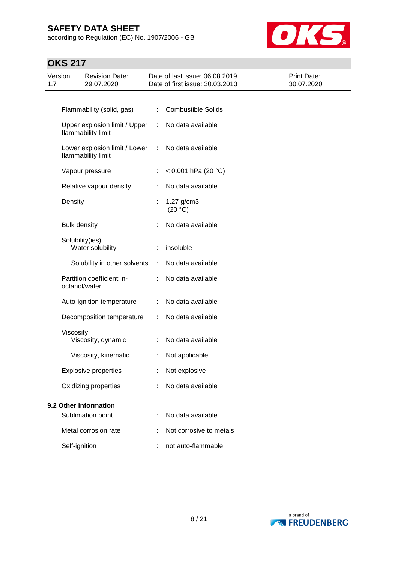according to Regulation (EC) No. 1907/2006 - GB



| Version<br>1.7 |                       | <b>Revision Date:</b><br>29.07.2020                 |    | Date of last issue: 06.08.2019<br>Date of first issue: 30.03.2013 | <b>Print Date:</b><br>30.07.2020 |
|----------------|-----------------------|-----------------------------------------------------|----|-------------------------------------------------------------------|----------------------------------|
|                |                       |                                                     |    |                                                                   |                                  |
|                |                       | Flammability (solid, gas)                           | ÷  | <b>Combustible Solids</b>                                         |                                  |
|                |                       | Upper explosion limit / Upper<br>flammability limit | ÷  | No data available                                                 |                                  |
|                |                       | Lower explosion limit / Lower<br>flammability limit | ÷  | No data available                                                 |                                  |
|                |                       | Vapour pressure                                     | ÷. | $< 0.001$ hPa (20 °C)                                             |                                  |
|                |                       | Relative vapour density                             |    | No data available                                                 |                                  |
|                | Density               |                                                     | ÷  | $1.27$ g/cm3<br>(20 °C)                                           |                                  |
|                | <b>Bulk density</b>   |                                                     |    | No data available                                                 |                                  |
|                |                       | Solubility(ies)<br>Water solubility                 |    | insoluble                                                         |                                  |
|                |                       | Solubility in other solvents                        | ÷  | No data available                                                 |                                  |
|                |                       | Partition coefficient: n-<br>octanol/water          |    | No data available                                                 |                                  |
|                |                       | Auto-ignition temperature                           |    | No data available                                                 |                                  |
|                |                       | Decomposition temperature                           | ÷  | No data available                                                 |                                  |
|                | Viscosity             | Viscosity, dynamic                                  | ÷  | No data available                                                 |                                  |
|                |                       | Viscosity, kinematic                                | ÷  | Not applicable                                                    |                                  |
|                |                       | <b>Explosive properties</b>                         |    | Not explosive                                                     |                                  |
|                |                       | Oxidizing properties                                |    | No data available                                                 |                                  |
|                | 9.2 Other information |                                                     |    |                                                                   |                                  |
|                |                       | Sublimation point                                   |    | No data available                                                 |                                  |
|                |                       | Metal corrosion rate                                |    | Not corrosive to metals                                           |                                  |
|                | Self-ignition         |                                                     |    | not auto-flammable                                                |                                  |

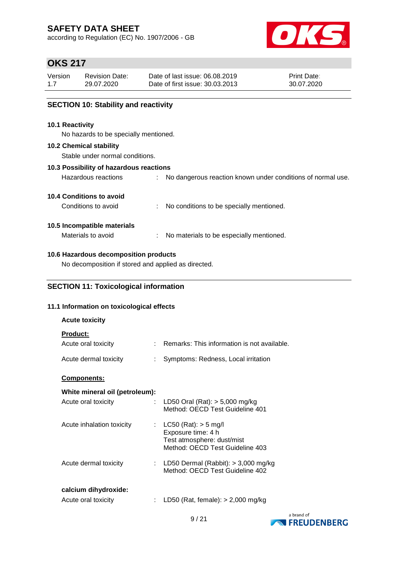according to Regulation (EC) No. 1907/2006 - GB



### **OKS 217**

| Version | <b>Revision Date:</b> | Date of last issue: 06.08.2019  | <b>Print Date:</b> |
|---------|-----------------------|---------------------------------|--------------------|
| 1.7     | 29.07.2020            | Date of first issue: 30.03.2013 | 30.07.2020         |
|         |                       |                                 |                    |

#### **SECTION 10: Stability and reactivity**

#### **10.1 Reactivity**

No hazards to be specially mentioned.

#### **10.2 Chemical stability**

Stable under normal conditions.

#### **10.3 Possibility of hazardous reactions**

| Hazardous reactions |  | No dangerous reaction known under conditions of normal use. |  |  |  |  |  |  |  |
|---------------------|--|-------------------------------------------------------------|--|--|--|--|--|--|--|
|---------------------|--|-------------------------------------------------------------|--|--|--|--|--|--|--|

#### **10.4 Conditions to avoid**

Conditions to avoid : No conditions to be specially mentioned.

#### **10.5 Incompatible materials**

Materials to avoid : No materials to be especially mentioned.

#### **10.6 Hazardous decomposition products**

No decomposition if stored and applied as directed.

#### **SECTION 11: Toxicological information**

#### **11.1 Information on toxicological effects**

| <b>Acute toxicity</b>                        |                                                                                                                 |
|----------------------------------------------|-----------------------------------------------------------------------------------------------------------------|
| <b>Product:</b><br>Acute oral toxicity<br>t. | Remarks: This information is not available.                                                                     |
| Acute dermal toxicity                        | Symptoms: Redness, Local irritation                                                                             |
| <b>Components:</b>                           |                                                                                                                 |
| White mineral oil (petroleum):               |                                                                                                                 |
| Acute oral toxicity<br>÷.                    | LD50 Oral (Rat): $> 5,000$ mg/kg<br>Method: OECD Test Guideline 401                                             |
| Acute inhalation toxicity<br>t.              | $LC50$ (Rat): $> 5$ mg/l<br>Exposure time: 4 h<br>Test atmosphere: dust/mist<br>Method: OECD Test Guideline 403 |
| Acute dermal toxicity                        | : LD50 Dermal (Rabbit): $>$ 3,000 mg/kg<br>Method: OECD Test Guideline 402                                      |
| calcium dihydroxide:<br>Acute oral toxicity  | LD50 (Rat, female): $> 2,000$ mg/kg                                                                             |

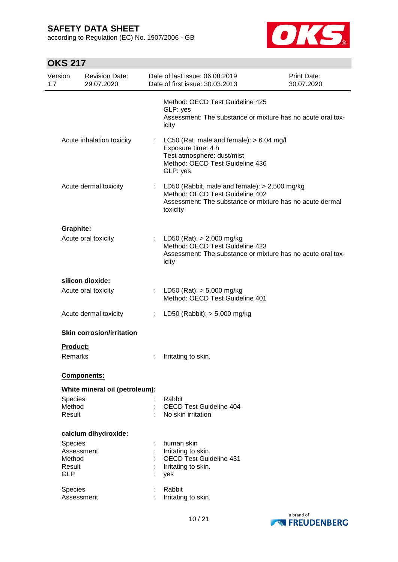according to Regulation (EC) No. 1907/2006 - GB



| Version<br>1.7                 | <b>Revision Date:</b><br>29.07.2020 |    | Date of last issue: 06.08.2019<br>Date of first issue: 30.03.2013                                                                                          | <b>Print Date:</b><br>30.07.2020 |
|--------------------------------|-------------------------------------|----|------------------------------------------------------------------------------------------------------------------------------------------------------------|----------------------------------|
|                                |                                     |    | Method: OECD Test Guideline 425<br>GLP: yes<br>Assessment: The substance or mixture has no acute oral tox-<br>icity                                        |                                  |
|                                | Acute inhalation toxicity           | ÷. | LC50 (Rat, male and female): $> 6.04$ mg/l<br>Exposure time: 4 h<br>Test atmosphere: dust/mist<br>Method: OECD Test Guideline 436<br>GLP: yes              |                                  |
|                                | Acute dermal toxicity               | ÷. | LD50 (Rabbit, male and female): $>$ 2,500 mg/kg<br>Method: OECD Test Guideline 402<br>Assessment: The substance or mixture has no acute dermal<br>toxicity |                                  |
| <b>Graphite:</b>               |                                     |    |                                                                                                                                                            |                                  |
|                                | Acute oral toxicity                 |    | : LD50 (Rat): $> 2,000$ mg/kg<br>Method: OECD Test Guideline 423<br>Assessment: The substance or mixture has no acute oral tox-<br>icity                   |                                  |
|                                | silicon dioxide:                    |    |                                                                                                                                                            |                                  |
|                                | Acute oral toxicity                 |    | : LD50 (Rat): $> 5,000$ mg/kg<br>Method: OECD Test Guideline 401                                                                                           |                                  |
|                                | Acute dermal toxicity               |    | : LD50 (Rabbit): $> 5,000$ mg/kg                                                                                                                           |                                  |
|                                | <b>Skin corrosion/irritation</b>    |    |                                                                                                                                                            |                                  |
| Product:                       |                                     |    |                                                                                                                                                            |                                  |
| Remarks                        |                                     |    | Irritating to skin.                                                                                                                                        |                                  |
|                                | Components:                         |    |                                                                                                                                                            |                                  |
|                                | White mineral oil (petroleum):      |    |                                                                                                                                                            |                                  |
| Species<br>Method<br>Result    |                                     |    | Rabbit<br><b>OECD Test Guideline 404</b><br>No skin irritation                                                                                             |                                  |
|                                | calcium dihydroxide:                |    |                                                                                                                                                            |                                  |
| <b>Species</b>                 |                                     |    | human skin                                                                                                                                                 |                                  |
|                                | Assessment                          |    | Irritating to skin.                                                                                                                                        |                                  |
| Method<br>Result<br><b>GLP</b> |                                     |    | <b>OECD Test Guideline 431</b><br>Irritating to skin.<br>yes                                                                                               |                                  |
| Species                        | Assessment                          |    | Rabbit<br>Irritating to skin.                                                                                                                              |                                  |

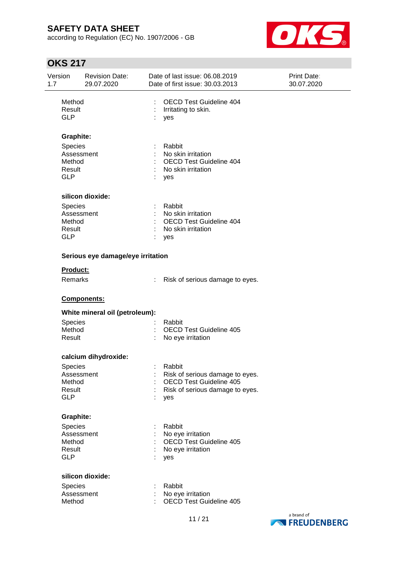according to Regulation (EC) No. 1907/2006 - GB



| Version<br>1.7                 | <b>Revision Date:</b><br>29.07.2020 | Date of last issue: 06.08.2019<br>Date of first issue: 30.03.2013 | Print Date:<br>30.07.2020 |
|--------------------------------|-------------------------------------|-------------------------------------------------------------------|---------------------------|
| Method<br>Result<br><b>GLP</b> |                                     | <b>OECD Test Guideline 404</b><br>Irritating to skin.<br>yes      |                           |
|                                | <b>Graphite:</b>                    |                                                                   |                           |
|                                | Species<br>Assessment<br>Method     | Rabbit<br>No skin irritation<br>OECD Test Guideline 404           |                           |
| Result<br><b>GLP</b>           |                                     | No skin irritation<br>yes                                         |                           |
|                                | silicon dioxide:                    |                                                                   |                           |
|                                | Species                             | Rabbit                                                            |                           |
|                                | Assessment                          | No skin irritation                                                |                           |
|                                | Method                              | <b>OECD Test Guideline 404</b>                                    |                           |
| Result                         |                                     | No skin irritation                                                |                           |
| <b>GLP</b>                     |                                     | yes                                                               |                           |
|                                | Serious eye damage/eye irritation   |                                                                   |                           |
|                                | Product:                            |                                                                   |                           |
|                                | Remarks                             | Risk of serious damage to eyes.                                   |                           |
|                                | Components:                         |                                                                   |                           |
|                                | White mineral oil (petroleum):      |                                                                   |                           |
|                                | Species                             | Rabbit                                                            |                           |
|                                | Method                              | <b>OECD Test Guideline 405</b>                                    |                           |
| Result                         |                                     | No eye irritation                                                 |                           |
|                                | calcium dihydroxide:                |                                                                   |                           |
|                                | Species                             | Rabbit                                                            |                           |
|                                | Assessment                          | Risk of serious damage to eyes.                                   |                           |
| Result                         | Method                              | <b>OECD Test Guideline 405</b><br>Risk of serious damage to eyes. |                           |
| <b>GLP</b>                     |                                     | yes                                                               |                           |
|                                | <b>Graphite:</b>                    |                                                                   |                           |
|                                | Species                             | Rabbit                                                            |                           |
|                                | Assessment                          | No eye irritation                                                 |                           |
|                                | Method                              | <b>OECD Test Guideline 405</b>                                    |                           |
| Result                         |                                     | No eye irritation                                                 |                           |
| <b>GLP</b>                     |                                     | yes                                                               |                           |
|                                | silicon dioxide:                    |                                                                   |                           |
|                                | Species                             | Rabbit                                                            |                           |
|                                | Assessment                          | No eye irritation                                                 |                           |
| Method                         |                                     | <b>OECD Test Guideline 405</b>                                    |                           |
|                                |                                     | 11 I O 1                                                          | a brand of                |

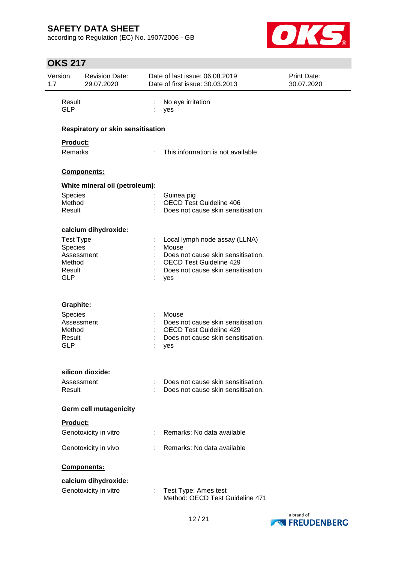according to Regulation (EC) No. 1907/2006 - GB



| Version<br>1.7       | <b>Revision Date:</b><br>29.07.2020 |   | Date of last issue: 06.08.2019<br>Date of first issue: 30.03.2013        | Print Date:<br>30.07.2020 |
|----------------------|-------------------------------------|---|--------------------------------------------------------------------------|---------------------------|
| Result<br><b>GLP</b> |                                     |   | No eye irritation<br>yes                                                 |                           |
|                      | Respiratory or skin sensitisation   |   |                                                                          |                           |
| Product:             |                                     |   |                                                                          |                           |
| <b>Remarks</b>       |                                     | ÷ | This information is not available.                                       |                           |
|                      | Components:                         |   |                                                                          |                           |
|                      | White mineral oil (petroleum):      |   |                                                                          |                           |
| Species              |                                     |   | Guinea pig                                                               |                           |
| Method<br>Result     |                                     |   | <b>OECD Test Guideline 406</b><br>Does not cause skin sensitisation.     |                           |
|                      | calcium dihydroxide:                |   |                                                                          |                           |
| <b>Test Type</b>     |                                     |   | Local lymph node assay (LLNA)                                            |                           |
| Species              |                                     |   | Mouse                                                                    |                           |
| Method               | Assessment                          |   | Does not cause skin sensitisation.<br><b>OECD Test Guideline 429</b>     |                           |
| Result               |                                     |   | Does not cause skin sensitisation.                                       |                           |
| <b>GLP</b>           |                                     |   | yes                                                                      |                           |
| Graphite:            |                                     |   |                                                                          |                           |
| Species              |                                     |   | Mouse                                                                    |                           |
|                      | Assessment                          |   | Does not cause skin sensitisation.                                       |                           |
| Method               |                                     |   | <b>OECD Test Guideline 429</b>                                           |                           |
| Result<br><b>GLP</b> |                                     |   | Does not cause skin sensitisation.                                       |                           |
|                      |                                     |   | yes                                                                      |                           |
|                      | silicon dioxide:                    |   |                                                                          |                           |
| Result               | Assessment                          |   | Does not cause skin sensitisation.<br>Does not cause skin sensitisation. |                           |
|                      | Germ cell mutagenicity              |   |                                                                          |                           |
| Product:             |                                     |   |                                                                          |                           |
|                      | Genotoxicity in vitro               | ÷ | Remarks: No data available                                               |                           |
|                      | Genotoxicity in vivo                |   | Remarks: No data available                                               |                           |
|                      | Components:                         |   |                                                                          |                           |
|                      | calcium dihydroxide:                |   |                                                                          |                           |
|                      | Genotoxicity in vitro               |   | Test Type: Ames test<br>Method: OECD Test Guideline 471                  |                           |

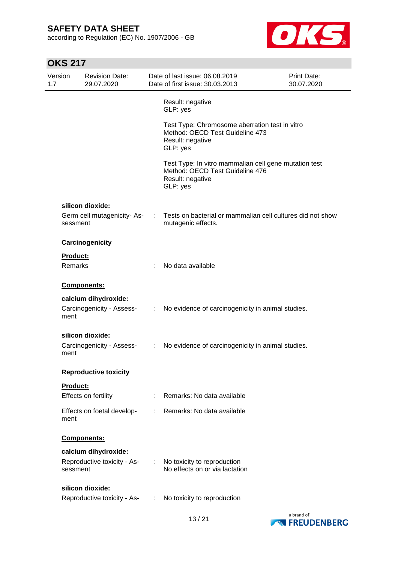according to Regulation (EC) No. 1907/2006 - GB



| Version<br>1.7 | <b>Revision Date:</b><br>29.07.2020     |    | Date of last issue: 06.08.2019<br>Date of first issue: 30.03.2013                                                        | Print Date:<br>30.07.2020 |
|----------------|-----------------------------------------|----|--------------------------------------------------------------------------------------------------------------------------|---------------------------|
|                |                                         |    | Result: negative<br>GLP: yes                                                                                             |                           |
|                |                                         |    | Test Type: Chromosome aberration test in vitro<br>Method: OECD Test Guideline 473<br>Result: negative<br>GLP: yes        |                           |
|                |                                         |    | Test Type: In vitro mammalian cell gene mutation test<br>Method: OECD Test Guideline 476<br>Result: negative<br>GLP: yes |                           |
|                | silicon dioxide:                        |    |                                                                                                                          |                           |
|                | Germ cell mutagenicity-As-<br>sessment  |    | Tests on bacterial or mammalian cell cultures did not show<br>mutagenic effects.                                         |                           |
|                | Carcinogenicity                         |    |                                                                                                                          |                           |
|                | <b>Product:</b>                         |    |                                                                                                                          |                           |
|                | <b>Remarks</b>                          |    | No data available                                                                                                        |                           |
|                | Components:                             |    |                                                                                                                          |                           |
|                | calcium dihydroxide:                    |    |                                                                                                                          |                           |
| ment           | Carcinogenicity - Assess-               | ÷  | No evidence of carcinogenicity in animal studies.                                                                        |                           |
|                | silicon dioxide:                        |    |                                                                                                                          |                           |
| ment           | Carcinogenicity - Assess-               | ÷. | No evidence of carcinogenicity in animal studies.                                                                        |                           |
|                | <b>Reproductive toxicity</b>            |    |                                                                                                                          |                           |
|                | <b>Product:</b>                         |    |                                                                                                                          |                           |
|                | Effects on fertility                    |    | Remarks: No data available                                                                                               |                           |
| ment           | Effects on foetal develop-              |    | Remarks: No data available                                                                                               |                           |
|                | Components:                             |    |                                                                                                                          |                           |
|                | calcium dihydroxide:                    |    |                                                                                                                          |                           |
|                | Reproductive toxicity - As-<br>sessment |    | No toxicity to reproduction<br>No effects on or via lactation                                                            |                           |
|                | silicon dioxide:                        |    |                                                                                                                          |                           |
|                | Reproductive toxicity - As-             |    | No toxicity to reproduction                                                                                              |                           |

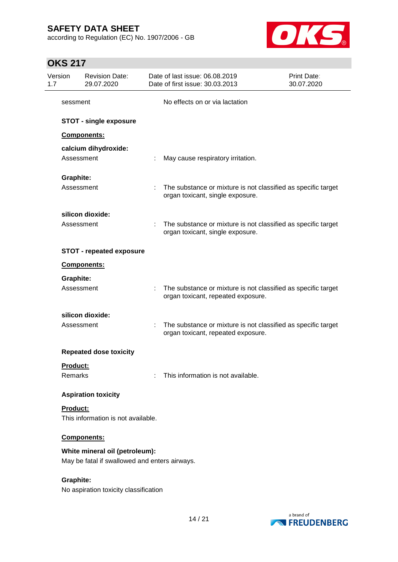according to Regulation (EC) No. 1907/2006 - GB



| Version<br>1.7             | <b>Revision Date:</b><br>29.07.2020                                             |   | Date of last issue: 06.08.2019<br>Date of first issue: 30.03.2013                                   | Print Date:<br>30.07.2020 |
|----------------------------|---------------------------------------------------------------------------------|---|-----------------------------------------------------------------------------------------------------|---------------------------|
| sessment                   |                                                                                 |   | No effects on or via lactation                                                                      |                           |
|                            | <b>STOT - single exposure</b>                                                   |   |                                                                                                     |                           |
|                            | <b>Components:</b>                                                              |   |                                                                                                     |                           |
|                            | calcium dihydroxide:<br>Assessment                                              |   | May cause respiratory irritation.                                                                   |                           |
| <b>Graphite:</b>           |                                                                                 |   |                                                                                                     |                           |
|                            | Assessment                                                                      |   | The substance or mixture is not classified as specific target<br>organ toxicant, single exposure.   |                           |
|                            | silicon dioxide:                                                                |   |                                                                                                     |                           |
|                            | Assessment                                                                      |   | The substance or mixture is not classified as specific target<br>organ toxicant, single exposure.   |                           |
|                            | <b>STOT - repeated exposure</b>                                                 |   |                                                                                                     |                           |
|                            | Components:                                                                     |   |                                                                                                     |                           |
| <b>Graphite:</b>           |                                                                                 |   |                                                                                                     |                           |
|                            | Assessment                                                                      |   | The substance or mixture is not classified as specific target<br>organ toxicant, repeated exposure. |                           |
|                            | silicon dioxide:                                                                |   |                                                                                                     |                           |
|                            | Assessment                                                                      | ÷ | The substance or mixture is not classified as specific target<br>organ toxicant, repeated exposure. |                           |
|                            | <b>Repeated dose toxicity</b>                                                   |   |                                                                                                     |                           |
| <u>Product:</u><br>Remarks |                                                                                 |   | This information is not available.                                                                  |                           |
|                            | <b>Aspiration toxicity</b>                                                      |   |                                                                                                     |                           |
| Product:                   | This information is not available.                                              |   |                                                                                                     |                           |
|                            | Components:                                                                     |   |                                                                                                     |                           |
|                            | White mineral oil (petroleum):<br>May be fatal if swallowed and enters airways. |   |                                                                                                     |                           |
| <b>Graphite:</b>           | No aspiration toxicity classification                                           |   |                                                                                                     |                           |

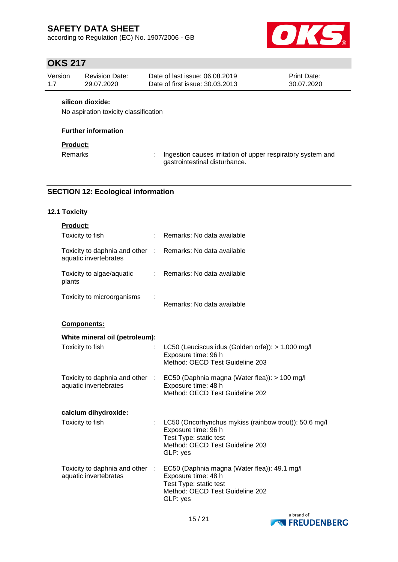according to Regulation (EC) No. 1907/2006 - GB



# **OKS 217**

| Version | <b>Revision Date:</b> | Date of last issue: 06.08.2019  | <b>Print Date:</b> |
|---------|-----------------------|---------------------------------|--------------------|
| 1.7     | 29.07.2020            | Date of first issue: 30.03.2013 | 30.07.2020         |

#### **silicon dioxide:**

No aspiration toxicity classification

#### **Further information**

#### **Product:**

Remarks : Ingestion causes irritation of upper respiratory system and gastrointestinal disturbance.

#### **SECTION 12: Ecological information**

#### **12.1 Toxicity**

| Product:                                                                            |   |                                                                                                                                                       |
|-------------------------------------------------------------------------------------|---|-------------------------------------------------------------------------------------------------------------------------------------------------------|
| Toxicity to fish                                                                    | ÷ | Remarks: No data available                                                                                                                            |
| Toxicity to daphnia and other : Remarks: No data available<br>aquatic invertebrates |   |                                                                                                                                                       |
| Toxicity to algae/aquatic<br>plants                                                 |   | : Remarks: No data available                                                                                                                          |
| Toxicity to microorganisms                                                          |   | Remarks: No data available                                                                                                                            |
| <b>Components:</b>                                                                  |   |                                                                                                                                                       |
| White mineral oil (petroleum):                                                      |   |                                                                                                                                                       |
| Toxicity to fish                                                                    |   | LC50 (Leuciscus idus (Golden orfe)): > 1,000 mg/l<br>Exposure time: 96 h<br>Method: OECD Test Guideline 203                                           |
| Toxicity to daphnia and other :<br>aquatic invertebrates                            |   | EC50 (Daphnia magna (Water flea)): > 100 mg/l<br>Exposure time: 48 h<br>Method: OECD Test Guideline 202                                               |
| calcium dihydroxide:                                                                |   |                                                                                                                                                       |
| Toxicity to fish                                                                    |   | LC50 (Oncorhynchus mykiss (rainbow trout)): 50.6 mg/l<br>Exposure time: 96 h<br>Test Type: static test<br>Method: OECD Test Guideline 203<br>GLP: yes |
| Toxicity to daphnia and other :<br>aquatic invertebrates                            |   | EC50 (Daphnia magna (Water flea)): 49.1 mg/l<br>Exposure time: 48 h<br>Test Type: static test<br>Method: OECD Test Guideline 202<br>GLP: yes          |

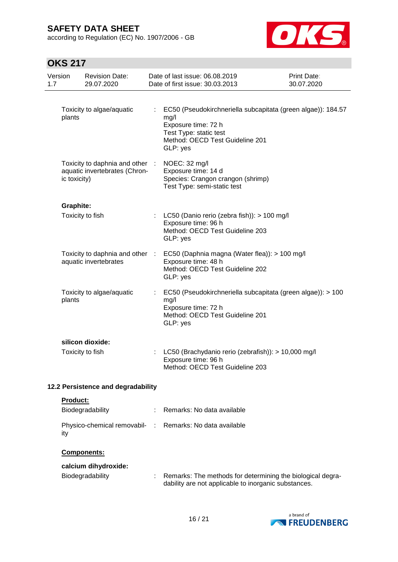according to Regulation (EC) No. 1907/2006 - GB



| 1.7 | Version          | <b>Revision Date:</b><br>29.07.2020                              | Date of last issue: 06.08.2019<br>Date of first issue: 30.03.2013                                                                                                      | <b>Print Date:</b><br>30.07.2020 |
|-----|------------------|------------------------------------------------------------------|------------------------------------------------------------------------------------------------------------------------------------------------------------------------|----------------------------------|
|     | plants           | Toxicity to algae/aquatic                                        | : EC50 (Pseudokirchneriella subcapitata (green algae)): 184.57<br>mg/l<br>Exposure time: 72 h<br>Test Type: static test<br>Method: OECD Test Guideline 201<br>GLP: yes |                                  |
|     | ic toxicity)     | Toxicity to daphnia and other :<br>aquatic invertebrates (Chron- | NOEC: 32 mg/l<br>Exposure time: 14 d<br>Species: Crangon crangon (shrimp)<br>Test Type: semi-static test                                                               |                                  |
|     | <b>Graphite:</b> |                                                                  |                                                                                                                                                                        |                                  |
|     |                  | Toxicity to fish                                                 | : LC50 (Danio rerio (zebra fish)): $> 100$ mg/l<br>Exposure time: 96 h<br>Method: OECD Test Guideline 203<br>GLP: yes                                                  |                                  |
|     |                  | Toxicity to daphnia and other :<br>aquatic invertebrates         | EC50 (Daphnia magna (Water flea)): > 100 mg/l<br>Exposure time: 48 h<br>Method: OECD Test Guideline 202<br>GLP: yes                                                    |                                  |
|     | plants           | Toxicity to algae/aquatic                                        | EC50 (Pseudokirchneriella subcapitata (green algae)): > 100<br>mg/l<br>Exposure time: 72 h<br>Method: OECD Test Guideline 201<br>GLP: yes                              |                                  |
|     |                  | silicon dioxide:                                                 |                                                                                                                                                                        |                                  |
|     |                  | Toxicity to fish                                                 | LC50 (Brachydanio rerio (zebrafish)): > 10,000 mg/l<br>Exposure time: 96 h<br>Method: OECD Test Guideline 203                                                          |                                  |
|     |                  | 12.2 Persistence and degradability                               |                                                                                                                                                                        |                                  |
|     | Product:         |                                                                  |                                                                                                                                                                        |                                  |
|     |                  | Biodegradability                                                 | Remarks: No data available                                                                                                                                             |                                  |
|     | ity              | Physico-chemical removabil- :                                    | Remarks: No data available                                                                                                                                             |                                  |
|     |                  | <b>Components:</b>                                               |                                                                                                                                                                        |                                  |
|     |                  | calcium dihydroxide:                                             |                                                                                                                                                                        |                                  |
|     |                  | Biodegradability                                                 | Remarks: The methods for determining the biological degra-<br>dability are not applicable to inorganic substances.                                                     |                                  |

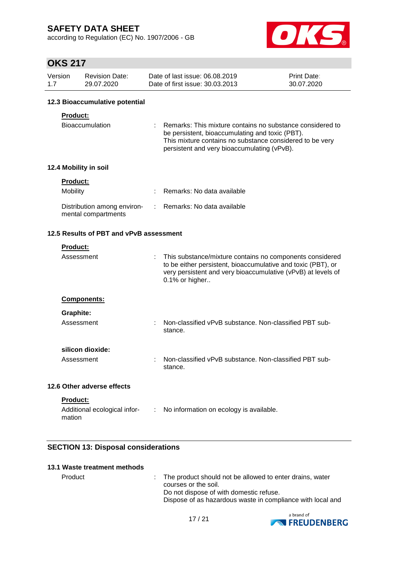according to Regulation (EC) No. 1907/2006 - GB



### **OKS 217**

| Version | <b>Revision Date:</b> | Date of last issue: 06.08.2019  | <b>Print Date:</b> |
|---------|-----------------------|---------------------------------|--------------------|
| 1.7     | 29.07.2020            | Date of first issue: 30.03.2013 | 30.07.2020         |

#### **12.3 Bioaccumulative potential**

#### **Product:**

| Bioaccumulation | : Remarks: This mixture contains no substance considered to |
|-----------------|-------------------------------------------------------------|
|                 | be persistent, bioaccumulating and toxic (PBT).             |
|                 | This mixture contains no substance considered to be very    |
|                 | persistent and very bioaccumulating (vPvB).                 |

#### **12.4 Mobility in soil**

| <b>Product:</b>                                    |                              |
|----------------------------------------------------|------------------------------|
| <b>Mobility</b>                                    | : Remarks: No data available |
| Distribution among environ-<br>mental compartments | : Remarks: No data available |

#### **12.5 Results of PBT and vPvB assessment**

| Product:                                                  |               |                                                                                                                                                                                                            |
|-----------------------------------------------------------|---------------|------------------------------------------------------------------------------------------------------------------------------------------------------------------------------------------------------------|
| Assessment                                                |               | This substance/mixture contains no components considered<br>to be either persistent, bioaccumulative and toxic (PBT), or<br>very persistent and very bioaccumulative (vPvB) at levels of<br>0.1% or higher |
| <b>Components:</b>                                        |               |                                                                                                                                                                                                            |
| Graphite:                                                 |               |                                                                                                                                                                                                            |
| Assessment                                                |               | Non-classified vPvB substance. Non-classified PBT sub-<br>stance.                                                                                                                                          |
| silicon dioxide:                                          |               |                                                                                                                                                                                                            |
| Assessment                                                |               | Non-classified vPvB substance. Non-classified PBT sub-<br>stance.                                                                                                                                          |
| 12.6 Other adverse effects                                |               |                                                                                                                                                                                                            |
| <b>Product:</b><br>Additional ecological infor-<br>mation | $\mathcal{L}$ | No information on ecology is available.                                                                                                                                                                    |

#### **SECTION 13: Disposal considerations**

#### **13.1 Waste treatment methods**

Product : The product should not be allowed to enter drains, water courses or the soil. Do not dispose of with domestic refuse. Dispose of as hazardous waste in compliance with local and

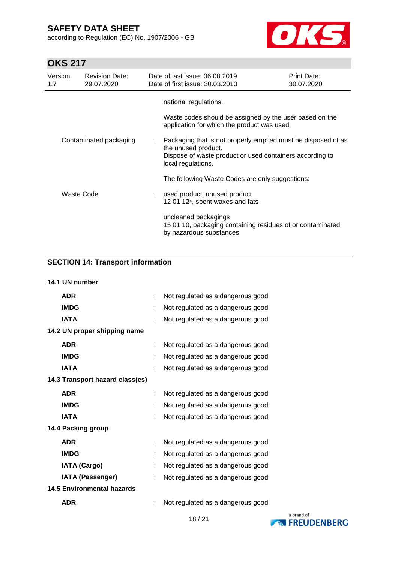according to Regulation (EC) No. 1907/2006 - GB



# **OKS 217**

| Version<br>1.7 | <b>Revision Date:</b><br>29.07.2020 | Date of last issue: 06.08.2019<br>Date of first issue: 30.03.2013 |                                                                 | Print Date:<br>30.07.2020                                                                                                 |
|----------------|-------------------------------------|-------------------------------------------------------------------|-----------------------------------------------------------------|---------------------------------------------------------------------------------------------------------------------------|
|                |                                     | national regulations.                                             | application for which the product was used.                     | Waste codes should be assigned by the user based on the                                                                   |
|                | Contaminated packaging              | the unused product.<br>local regulations.                         |                                                                 | Packaging that is not properly emptied must be disposed of as<br>Dispose of waste product or used containers according to |
|                |                                     |                                                                   | The following Waste Codes are only suggestions:                 |                                                                                                                           |
|                | Waste Code                          |                                                                   | used product, unused product<br>12 01 12*, spent waxes and fats |                                                                                                                           |
|                |                                     | uncleaned packagings                                              | by hazardous substances                                         | 15 01 10, packaging containing residues of or contaminated                                                                |

### **SECTION 14: Transport information**

| 14.1 UN number                    |   |                                   |
|-----------------------------------|---|-----------------------------------|
| <b>ADR</b>                        | ÷ | Not regulated as a dangerous good |
| <b>IMDG</b>                       |   | Not regulated as a dangerous good |
| <b>IATA</b>                       |   | Not regulated as a dangerous good |
| 14.2 UN proper shipping name      |   |                                   |
| <b>ADR</b>                        |   | Not regulated as a dangerous good |
| <b>IMDG</b>                       |   | Not regulated as a dangerous good |
| <b>IATA</b>                       |   | Not regulated as a dangerous good |
| 14.3 Transport hazard class(es)   |   |                                   |
| <b>ADR</b>                        |   | Not regulated as a dangerous good |
| <b>IMDG</b>                       |   | Not regulated as a dangerous good |
| <b>IATA</b>                       |   | Not regulated as a dangerous good |
| 14.4 Packing group                |   |                                   |
| <b>ADR</b>                        |   | Not regulated as a dangerous good |
| <b>IMDG</b>                       |   | Not regulated as a dangerous good |
| <b>IATA (Cargo)</b>               |   | Not regulated as a dangerous good |
| <b>IATA (Passenger)</b>           | t | Not regulated as a dangerous good |
| <b>14.5 Environmental hazards</b> |   |                                   |
| <b>ADR</b>                        |   | Not regulated as a dangerous good |
|                                   |   |                                   |

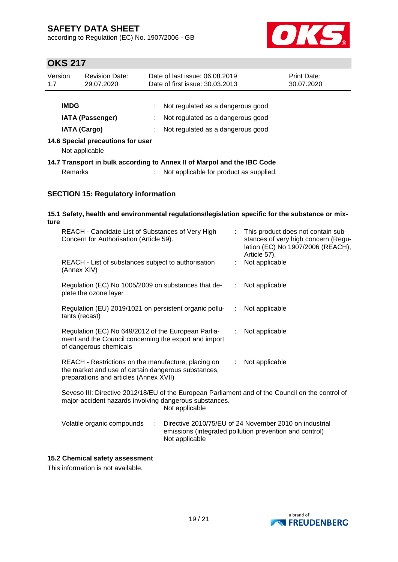according to Regulation (EC) No. 1907/2006 - GB



# **OKS 217**

| Version<br>1.7                                           | <b>Revision Date:</b><br>29.07.2020                 |  | Date of last issue: 06.08.2019<br>Date of first issue: 30.03.2013       | <b>Print Date:</b><br>30.07.2020 |
|----------------------------------------------------------|-----------------------------------------------------|--|-------------------------------------------------------------------------|----------------------------------|
|                                                          | <b>IMDG</b><br><b>IATA (Passenger)</b>              |  | Not regulated as a dangerous good<br>Not regulated as a dangerous good  |                                  |
| <b>IATA (Cargo)</b><br>Not regulated as a dangerous good |                                                     |  |                                                                         |                                  |
|                                                          | 14.6 Special precautions for user<br>Not applicable |  |                                                                         |                                  |
|                                                          |                                                     |  | 14.7 Transport in bulk according to Annex II of Marpol and the IBC Code |                                  |
|                                                          | Remarks                                             |  | Not applicable for product as supplied.                                 |                                  |

#### **SECTION 15: Regulatory information**

| ture | 15.1 Safety, health and environmental regulations/legislation specific for the substance or mix-                                                     |    |                                                                                                                                |
|------|------------------------------------------------------------------------------------------------------------------------------------------------------|----|--------------------------------------------------------------------------------------------------------------------------------|
|      | REACH - Candidate List of Substances of Very High<br>Concern for Authorisation (Article 59).                                                         | ÷. | This product does not contain sub-<br>stances of very high concern (Regu-<br>lation (EC) No 1907/2006 (REACH),<br>Article 57). |
|      | REACH - List of substances subject to authorisation<br>(Annex XIV)                                                                                   | t. | Not applicable                                                                                                                 |
|      | Regulation (EC) No 1005/2009 on substances that de-<br>plete the ozone layer                                                                         |    | $:$ Not applicable                                                                                                             |
|      | Regulation (EU) 2019/1021 on persistent organic pollu-<br>tants (recast)                                                                             |    | : Not applicable                                                                                                               |
|      | Regulation (EC) No 649/2012 of the European Parlia-<br>ment and the Council concerning the export and import<br>of dangerous chemicals               | t. | Not applicable                                                                                                                 |
|      | REACH - Restrictions on the manufacture, placing on<br>the market and use of certain dangerous substances,<br>preparations and articles (Annex XVII) | ÷. | Not applicable                                                                                                                 |
|      | Seveso III: Directive 2012/18/EU of the European Parliament and of the Council on the control of                                                     |    |                                                                                                                                |

Seveso III: Directive 2012/18/EU of the European Parliament and of the Council on the control of major-accident hazards involving dangerous substances. Not applicable

| Volatile organic compounds | Directive 2010/75/EU of 24 November 2010 on industrial  |
|----------------------------|---------------------------------------------------------|
|                            | emissions (integrated pollution prevention and control) |
|                            | Not applicable                                          |

#### **15.2 Chemical safety assessment**

This information is not available.

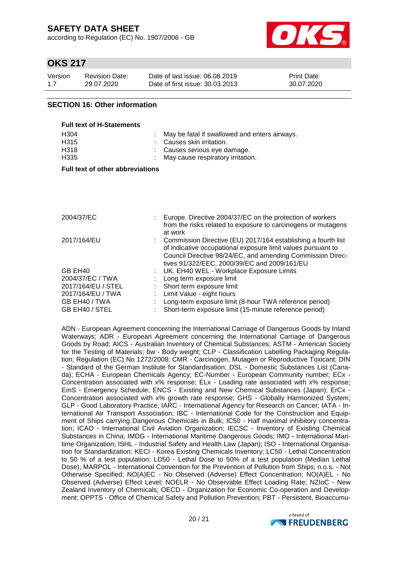according to Regulation (EC) No. 1907/2006 - GB



### **OKS 217**

| Version | Revision Date: | Date of last issue: 06.08.2019  | <b>Print Date:</b> |
|---------|----------------|---------------------------------|--------------------|
| 1.7     | 29.07.2020     | Date of first issue: 30.03.2013 | 30.07.2020         |

#### **SECTION 16: Other information**

| <b>Full text of H-Statements</b> |                                                 |
|----------------------------------|-------------------------------------------------|
| H <sub>304</sub>                 | : May be fatal if swallowed and enters airways. |
| H <sub>315</sub>                 | : Causes skin irritation.                       |
| H318                             | : Causes serious eye damage.                    |
| H335                             | : May cause respiratory irritation.             |

#### **Full text of other abbreviations**

| 2004/37/EC         | Europe. Directive 2004/37/EC on the protection of workers<br>from the risks related to exposure to carcinogens or mutagens                                                                                                                               |
|--------------------|----------------------------------------------------------------------------------------------------------------------------------------------------------------------------------------------------------------------------------------------------------|
| 2017/164/EU        | at work<br>: Commission Directive (EU) 2017/164 establishing a fourth list<br>of indicative occupational exposure limit values pursuant to<br>Council Directive 98/24/EC, and amending Commission Direc-<br>tives 91/322/EEC, 2000/39/EC and 2009/161/EU |
| GB EH40            | : UK. EH40 WEL - Workplace Exposure Limits                                                                                                                                                                                                               |
| 2004/37/EC / TWA   | Long term exposure limit                                                                                                                                                                                                                                 |
| 2017/164/EU / STEL | : Short term exposure limit                                                                                                                                                                                                                              |
| 2017/164/EU / TWA  | Limit Value - eight hours                                                                                                                                                                                                                                |
| GB EH40 / TWA      | Long-term exposure limit (8-hour TWA reference period)                                                                                                                                                                                                   |
| GB EH40 / STEL     | Short-term exposure limit (15-minute reference period)                                                                                                                                                                                                   |

ADN - European Agreement concerning the International Carriage of Dangerous Goods by Inland Waterways; ADR - European Agreement concerning the International Carriage of Dangerous Goods by Road; AICS - Australian Inventory of Chemical Substances; ASTM - American Society for the Testing of Materials; bw - Body weight; CLP - Classification Labelling Packaging Regulation; Regulation (EC) No 1272/2008; CMR - Carcinogen, Mutagen or Reproductive Toxicant; DIN - Standard of the German Institute for Standardisation; DSL - Domestic Substances List (Canada); ECHA - European Chemicals Agency; EC-Number - European Community number; ECx - Concentration associated with x% response; ELx - Loading rate associated with x% response; EmS - Emergency Schedule; ENCS - Existing and New Chemical Substances (Japan); ErCx - Concentration associated with x% growth rate response; GHS - Globally Harmonized System; GLP - Good Laboratory Practice; IARC - International Agency for Research on Cancer; IATA - International Air Transport Association; IBC - International Code for the Construction and Equipment of Ships carrying Dangerous Chemicals in Bulk; IC50 - Half maximal inhibitory concentration; ICAO - International Civil Aviation Organization; IECSC - Inventory of Existing Chemical Substances in China; IMDG - International Maritime Dangerous Goods; IMO - International Maritime Organization; ISHL - Industrial Safety and Health Law (Japan); ISO - International Organisation for Standardization; KECI - Korea Existing Chemicals Inventory; LC50 - Lethal Concentration to 50 % of a test population; LD50 - Lethal Dose to 50% of a test population (Median Lethal Dose); MARPOL - International Convention for the Prevention of Pollution from Ships; n.o.s. - Not Otherwise Specified; NO(A)EC - No Observed (Adverse) Effect Concentration; NO(A)EL - No Observed (Adverse) Effect Level; NOELR - No Observable Effect Loading Rate; NZIoC - New Zealand Inventory of Chemicals; OECD - Organization for Economic Co-operation and Development; OPPTS - Office of Chemical Safety and Pollution Prevention; PBT - Persistent, Bioaccumu-